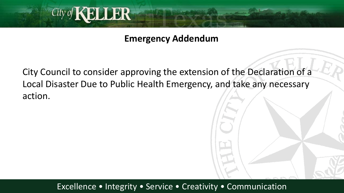

**Emergency Addendum**

City Council to consider approving the extension of the Declaration of a Local Disaster Due to Public Health Emergency, and take any necessary action.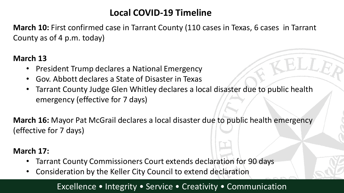# **Local COVID-19 Timeline**

**March 10:** First confirmed case in Tarrant County (110 cases in Texas, 6 cases in Tarrant County as of 4 p.m. today)

#### **March 13**

- President Trump declares a National Emergency
- Gov. Abbott declares a State of Disaster in Texas
- Tarrant County Judge Glen Whitley declares a local disaster due to public health emergency (effective for 7 days)

**March 16:** Mayor Pat McGrail declares a local disaster due to public health emergency (effective for 7 days)

#### **March 17:**

- Tarrant County Commissioners Court extends declaration for 90 days
- Consideration by the Keller City Council to extend declaration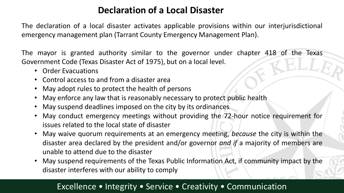# **Declaration of a Local Disaster**

The declaration of a local disaster activates applicable provisions within our interjurisdictional emergency management plan (Tarrant County Emergency Management Plan).

The mayor is granted authority similar to the governor under chapter 418 of the Texas Government Code (Texas Disaster Act of 1975), but on a local level.

- Order Evacuations
- Control access to and from a disaster area
- May adopt rules to protect the health of persons
- May enforce any law that is reasonably necessary to protect public health
- May suspend deadlines imposed on the city by its ordinances
- May conduct emergency meetings without providing the 72-hour notice requirement for issues related to the local state of disaster
- May waive quorum requirements at an emergency meeting, *because* the city is within the disaster area declared by the president and/or governor *and if* a majority of members are unable to attend due to the disaster
- May suspend requirements of the Texas Public Information Act, if community impact by the disaster interferes with our ability to comply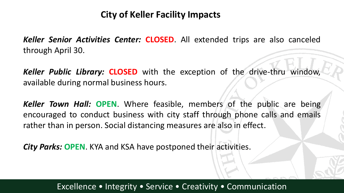# **City of Keller Facility Impacts**

*Keller Senior Activities Center:* **CLOSED**. All extended trips are also canceled through April 30.

*Keller Public Library:* **CLOSED** with the exception of the drive-thru window, available during normal business hours.

*Keller Town Hall:* **OPEN**. Where feasible, members of the public are being encouraged to conduct business with city staff through phone calls and emails rather than in person. Social distancing measures are also in effect.

*City Parks:* **OPEN**. KYA and KSA have postponed their activities.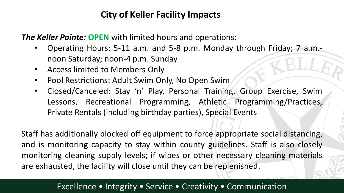# **City of Keller Facility Impacts**

*The Keller Pointe:* **OPEN** with limited hours and operations:

- Operating Hours: 5-11 a.m. and 5-8 p.m. Monday through Friday; 7 a.m. noon Saturday; noon-4 p.m. Sunday
- Access limited to Members Only
- Pool Restrictions: Adult Swim Only, No Open Swim
- Closed/Canceled: Stay 'n' Play, Personal Training, Group Exercise, Swim Lessons, Recreational Programming, Athletic Programming/Practices, Private Rentals (including birthday parties), Special Events

Staff has additionally blocked off equipment to force appropriate social distancing, and is monitoring capacity to stay within county guidelines. Staff is also closely monitoring cleaning supply levels; if wipes or other necessary cleaning materials are exhausted, the facility will close until they can be replenished.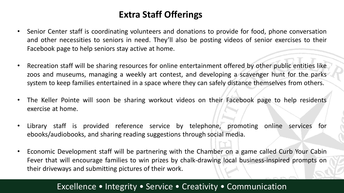# **Extra Staff Offerings**

- Senior Center staff is coordinating volunteers and donations to provide for food, phone conversation and other necessities to seniors in need. They'll also be posting videos of senior exercises to their Facebook page to help seniors stay active at home.
- Recreation staff will be sharing resources for online entertainment offered by other public entities like zoos and museums, managing a weekly art contest, and developing a scavenger hunt for the parks system to keep families entertained in a space where they can safely distance themselves from others.
- The Keller Pointe will soon be sharing workout videos on their Facebook page to help residents exercise at home.
- Library staff is provided reference service by telephone, promoting online services for ebooks/audiobooks, and sharing reading suggestions through social media.
- Economic Development staff will be partnering with the Chamber on a game called Curb Your Cabin Fever that will encourage families to win prizes by chalk-drawing local business-inspired prompts on their driveways and submitting pictures of their work.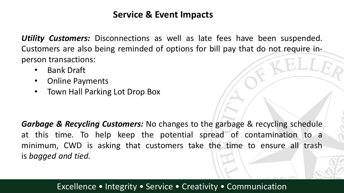## **Service & Event Impacts**

*Utility Customers:* Disconnections as well as late fees have been suspended. Customers are also being reminded of options for bill pay that do not require inperson transactions:

- Bank Draft
- Online Payments
- Town Hall Parking Lot Drop Box

*Garbage & Recycling Customers:* No changes to the garbage & recycling schedule at this time. To help keep the potential spread of contamination to a minimum, CWD is asking that customers take the time to ensure all trash is *bagged and tied*.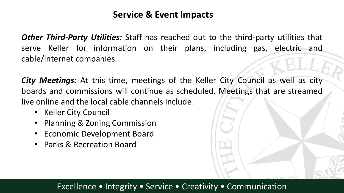## **Service & Event Impacts**

*Other Third-Party Utilities:* Staff has reached out to the third-party utilities that serve Keller for information on their plans, including gas, electric and cable/internet companies.

*City Meetings:* At this time, meetings of the Keller City Council as well as city boards and commissions will continue as scheduled. Meetings that are streamed live online and the local cable channels include:

- Keller City Council
- Planning & Zoning Commission
- Economic Development Board
- Parks & Recreation Board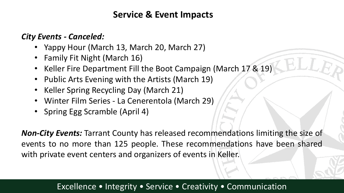## **Service & Event Impacts**

#### *City Events - Canceled:*

- Yappy Hour (March 13, March 20, March 27)
- Family Fit Night (March 16)
- Keller Fire Department Fill the Boot Campaign (March 17 & 19)
- Public Arts Evening with the Artists (March 19)
- Keller Spring Recycling Day (March 21)
- Winter Film Series La Cenerentola (March 29)
- Spring Egg Scramble (April 4)

*Non-City Events:* Tarrant County has released recommendations limiting the size of events to no more than 125 people. These recommendations have been shared with private event centers and organizers of events in Keller.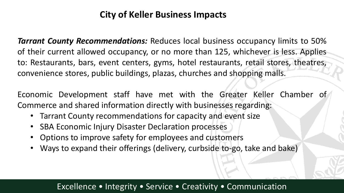# **City of Keller Business Impacts**

*Tarrant County Recommendations:* Reduces local business occupancy limits to 50% of their current allowed occupancy, or no more than 125, whichever is less. Applies to: Restaurants, bars, event centers, gyms, hotel restaurants, retail stores, theatres, convenience stores, public buildings, plazas, churches and shopping malls.

Economic Development staff have met with the Greater Keller Chamber of Commerce and shared information directly with businesses regarding:

- Tarrant County recommendations for capacity and event size
- SBA Economic Injury Disaster Declaration processes
- Options to improve safety for employees and customers
- Ways to expand their offerings (delivery, curbside to-go, take and bake)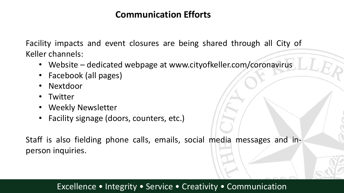## **Communication Efforts**

Facility impacts and event closures are being shared through all City of Keller channels:

- Website dedicated webpage at www.cityofkeller.com/coronavirus
- Facebook (all pages)
- Nextdoor
- Twitter
- Weekly Newsletter
- Facility signage (doors, counters, etc.)

Staff is also fielding phone calls, emails, social media messages and inperson inquiries.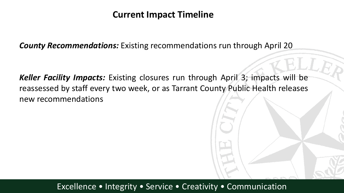## **Current Impact Timeline**

*County Recommendations:* Existing recommendations run through April 20

*Keller Facility Impacts:* Existing closures run through April 3; impacts will be reassessed by staff every two week, or as Tarrant County Public Health releases new recommendations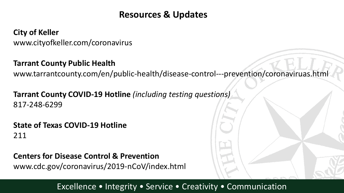## **Resources & Updates**

**City of Keller** www.cityofkeller.com/coronavirus

#### **Tarrant County Public Health**

www.tarrantcounty.com/en/public-health/disease-control---prevention/coronaviruas.html

**Tarrant County COVID-19 Hotline** *(including testing questions)* 817-248-6299

## **State of Texas COVID-19 Hotline** 211

**Centers for Disease Control & Prevention** www.cdc.gov/coronavirus/2019-nCoV/index.html